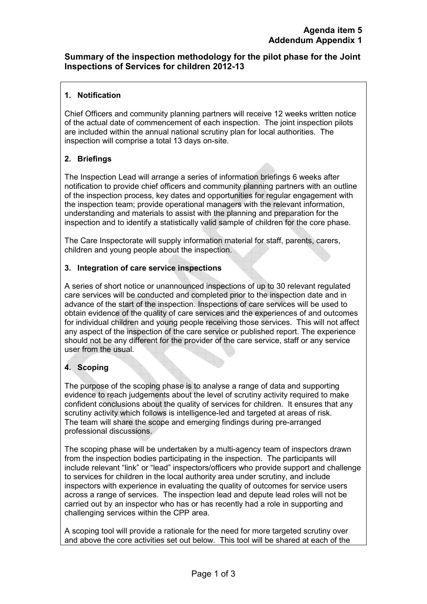### **Summary of the inspection methodology for the pilot phase for the Joint Inspections of Services for children 2012-13**

#### **1. Notification**

Chief Officers and community planning partners will receive 12 weeks written notice of the actual date of commencement of each inspection.The joint inspection pilots are included within the annual national scrutiny plan for local authorities. The inspection will comprise a total 13 days on-site.

# **2. Briefings**

The Inspection Lead will arrange a series of information briefings 6 weeks after notification to provide chief officers and community planning partners with an outline of the inspection process, key dates and opportunities for regular engagement with the inspection team; provide operational managers with the relevant information, understanding and materials to assist with the planning and preparation for the inspection and to identify a statistically valid sample of children for the core phase.

The Care Inspectorate will supply information material for staff, parents, carers, children and young people about the inspection.

### **3. Integration of care service inspections**

A series of short notice or unannounced inspections of up to 30 relevant regulated care services will be conducted and completed prior to the inspection date and in advance of the start of the inspection. Inspections of care services will be used to obtain evidence of the quality of care services and the experiences of and outcomes for individual children and young people receiving those services. This will not affect any aspect of the inspection of the care service or published report. The experience should not be any different for the provider of the care service, staff or any service user from the usual.

# **4. Scoping**

The purpose of the scoping phase is to analyse a range of data and supporting evidence to reach judgements about the level of scrutiny activity required to make confident conclusions about the quality of services for children. It ensures that any scrutiny activity which follows is intelligence-led and targeted at areas of risk. The team will share the scope and emerging findings during pre-arranged professional discussions.

The scoping phase will be undertaken by a multi-agency team of inspectors drawn from the inspection bodies participating in the inspection. The participants will include relevant "link" or "lead" inspectors/officers who provide support and challenge to services for children in the local authority area under scrutiny, and include inspectors with experience in evaluating the quality of outcomes for service users across a range of services. The inspection lead and depute lead roles will not be carried out by an inspector who has or has recently had a role in supporting and challenging services within the CPP area.

A scoping tool will provide a rationale for the need for more targeted scrutiny over and above the core activities set out below. This tool will be shared at each of the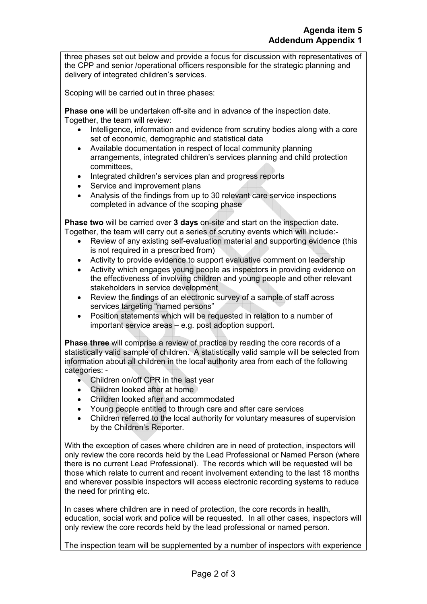three phases set out below and provide a focus for discussion with representatives of the CPP and senior /operational officers responsible for the strategic planning and delivery of integrated children's services.

Scoping will be carried out in three phases:

**Phase one** will be undertaken off-site and in advance of the inspection date. Together, the team will review:

- Intelligence, information and evidence from scrutiny bodies along with a core set of economic, demographic and statistical data
- Available documentation in respect of local community planning arrangements, integrated children's services planning and child protection committees,
- Integrated children's services plan and progress reports
- Service and improvement plans
- Analysis of the findings from up to 30 relevant care service inspections completed in advance of the scoping phase

**Phase two** will be carried over **3 days** on-site and start on the inspection date. Together, the team will carry out a series of scrutiny events which will include:-

- Review of any existing self-evaluation material and supporting evidence (this is not required in a prescribed from)
- Activity to provide evidence to support evaluative comment on leadership
- Activity which engages young people as inspectors in providing evidence on the effectiveness of involving children and young people and other relevant stakeholders in service development
- Review the findings of an electronic survey of a sample of staff across services targeting "named persons"
- Position statements which will be requested in relation to a number of important service areas – e.g. post adoption support.

**Phase three** will comprise a review of practice by reading the core records of a statistically valid sample of children. A statistically valid sample will be selected from information about all children in the local authority area from each of the following categories: -

- Children on/off CPR in the last year
- Children looked after at home
- Children looked after and accommodated
- Young people entitled to through care and after care services
- Children referred to the local authority for voluntary measures of supervision by the Children's Reporter.

With the exception of cases where children are in need of protection, inspectors will only review the core records held by the Lead Professional or Named Person (where there is no current Lead Professional). The records which will be requested will be those which relate to current and recent involvement extending to the last 18 months and wherever possible inspectors will access electronic recording systems to reduce the need for printing etc.

In cases where children are in need of protection, the core records in health, education, social work and police will be requested. In all other cases, inspectors will only review the core records held by the lead professional or named person.

The inspection team will be supplemented by a number of inspectors with experience